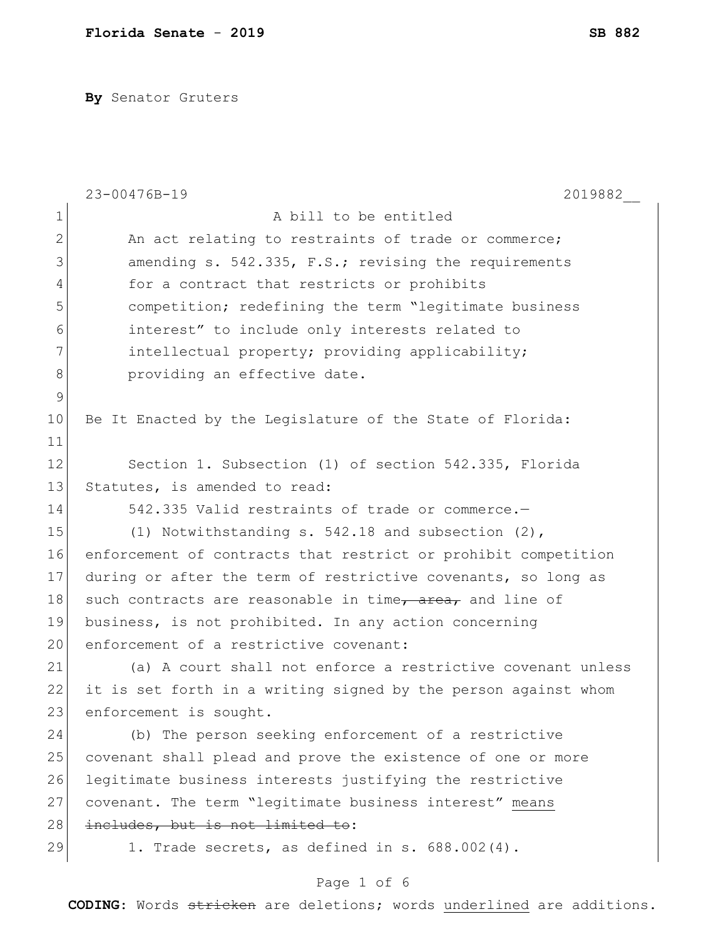**By** Senator Gruters

|                | 23-00476B-19<br>2019882                                        |
|----------------|----------------------------------------------------------------|
| $\mathbf 1$    | A bill to be entitled                                          |
| $\overline{2}$ | An act relating to restraints of trade or commerce;            |
| 3              | amending s. 542.335, F.S.; revising the requirements           |
| 4              | for a contract that restricts or prohibits                     |
| 5              | competition; redefining the term "legitimate business          |
| 6              | interest" to include only interests related to                 |
| 7              | intellectual property; providing applicability;                |
| 8              | providing an effective date.                                   |
| $\mathsf 9$    |                                                                |
| 10             | Be It Enacted by the Legislature of the State of Florida:      |
| 11             |                                                                |
| 12             | Section 1. Subsection (1) of section 542.335, Florida          |
| 13             | Statutes, is amended to read:                                  |
| 14             | 542.335 Valid restraints of trade or commerce.-                |
| 15             | (1) Notwithstanding s. 542.18 and subsection (2),              |
| 16             | enforcement of contracts that restrict or prohibit competition |
| 17             | during or after the term of restrictive covenants, so long as  |
| 18             | such contracts are reasonable in time, area, and line of       |
| 19             | business, is not prohibited. In any action concerning          |
| 20             | enforcement of a restrictive covenant:                         |
| 21             | (a) A court shall not enforce a restrictive covenant unless    |
| 22             | it is set forth in a writing signed by the person against whom |
| 23             | enforcement is sought.                                         |
| 24             | (b) The person seeking enforcement of a restrictive            |
| 25             | covenant shall plead and prove the existence of one or more    |
| 26             | legitimate business interests justifying the restrictive       |
| 27             | covenant. The term "legitimate business interest" means        |
| 28             | includes, but is not limited to:                               |
| 29             | 1. Trade secrets, as defined in s. 688.002(4).                 |
|                | Page 1 of 6                                                    |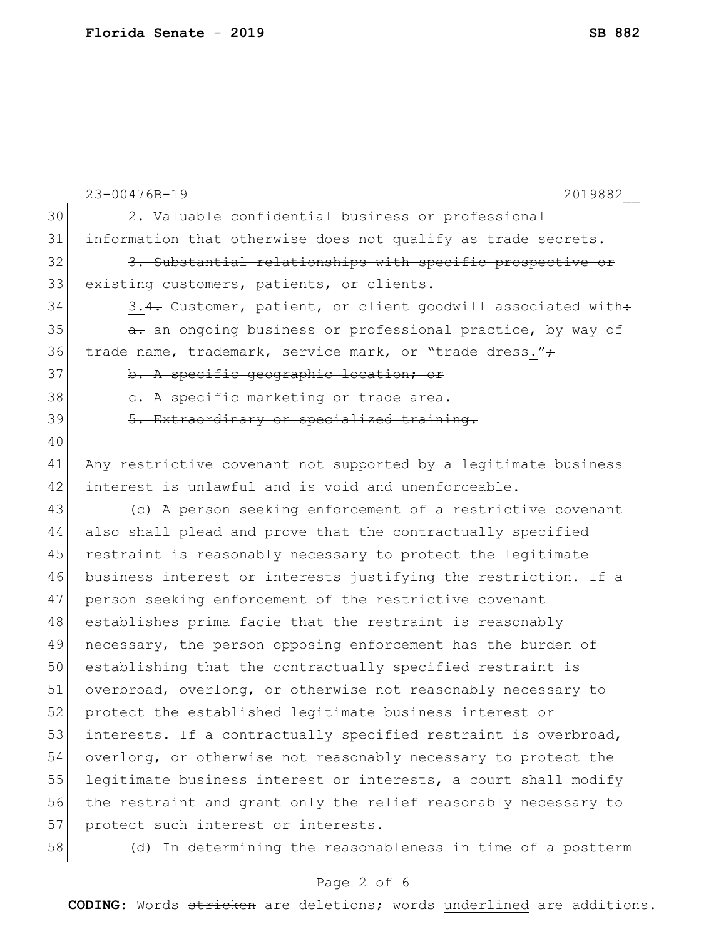|    | 23-00476B-19<br>2019882                                         |
|----|-----------------------------------------------------------------|
| 30 | 2. Valuable confidential business or professional               |
| 31 | information that otherwise does not qualify as trade secrets.   |
| 32 | 3. Substantial relationships with specific prospective or       |
| 33 | existing customers, patients, or clients.                       |
| 34 | 3.4. Customer, patient, or client goodwill associated with:     |
| 35 | a. an ongoing business or professional practice, by way of      |
| 36 | trade name, trademark, service mark, or "trade dress."+         |
| 37 | b. A specific geographic location; or                           |
| 38 | e. A specific marketing or trade area.                          |
| 39 | 5. Extraordinary or specialized training.                       |
| 40 |                                                                 |
| 41 | Any restrictive covenant not supported by a legitimate business |
| 42 | interest is unlawful and is void and unenforceable.             |
| 43 | (c) A person seeking enforcement of a restrictive covenant      |
| 44 | also shall plead and prove that the contractually specified     |
| 45 | restraint is reasonably necessary to protect the legitimate     |
| 46 | business interest or interests justifying the restriction. If a |
| 47 | person seeking enforcement of the restrictive covenant          |
| 48 | establishes prima facie that the restraint is reasonably        |
| 49 | necessary, the person opposing enforcement has the burden of    |
| 50 | establishing that the contractually specified restraint is      |
| 51 | overbroad, overlong, or otherwise not reasonably necessary to   |
| 52 | protect the established legitimate business interest or         |
| 53 | interests. If a contractually specified restraint is overbroad, |
| 54 | overlong, or otherwise not reasonably necessary to protect the  |
| 55 | legitimate business interest or interests, a court shall modify |
| 56 | the restraint and grant only the relief reasonably necessary to |
| 57 | protect such interest or interests.                             |
| 58 | (d) In determining the reasonableness in time of a postterm     |
|    |                                                                 |

# Page 2 of 6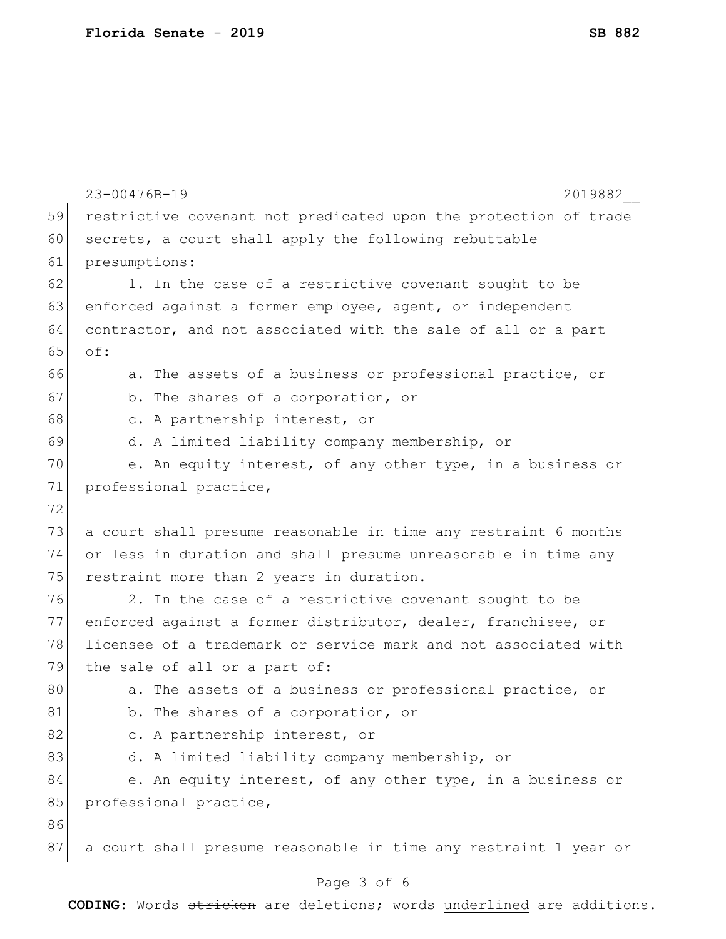|    | 23-00476B-19<br>2019882                                          |
|----|------------------------------------------------------------------|
| 59 | restrictive covenant not predicated upon the protection of trade |
| 60 | secrets, a court shall apply the following rebuttable            |
| 61 | presumptions:                                                    |
| 62 | 1. In the case of a restrictive covenant sought to be            |
| 63 | enforced against a former employee, agent, or independent        |
| 64 | contractor, and not associated with the sale of all or a part    |
| 65 | of:                                                              |
| 66 | a. The assets of a business or professional practice, or         |
| 67 | b. The shares of a corporation, or                               |
| 68 | c. A partnership interest, or                                    |
| 69 | d. A limited liability company membership, or                    |
| 70 | e. An equity interest, of any other type, in a business or       |
| 71 | professional practice,                                           |
| 72 |                                                                  |
| 73 | a court shall presume reasonable in time any restraint 6 months  |
| 74 | or less in duration and shall presume unreasonable in time any   |
| 75 | restraint more than 2 years in duration.                         |
| 76 | 2. In the case of a restrictive covenant sought to be            |
| 77 | enforced against a former distributor, dealer, franchisee, or    |
| 78 | licensee of a trademark or service mark and not associated with  |
| 79 | the sale of all or a part of:                                    |
| 80 | a. The assets of a business or professional practice, or         |
| 81 | b. The shares of a corporation, or                               |
| 82 | c. A partnership interest, or                                    |
| 83 | d. A limited liability company membership, or                    |
| 84 | e. An equity interest, of any other type, in a business or       |
| 85 | professional practice,                                           |
| 86 |                                                                  |
| 87 | a court shall presume reasonable in time any restraint 1 year or |
|    |                                                                  |

### Page 3 of 6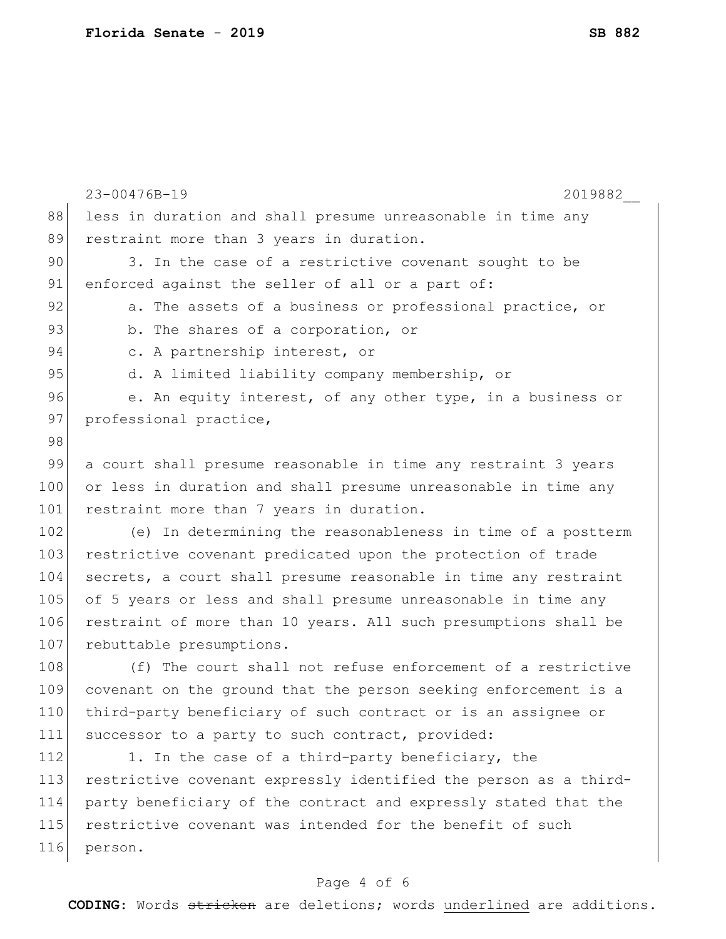|     | 23-00476B-19<br>2019882                                          |
|-----|------------------------------------------------------------------|
| 88  | less in duration and shall presume unreasonable in time any      |
| 89  | restraint more than 3 years in duration.                         |
| 90  | 3. In the case of a restrictive covenant sought to be            |
| 91  | enforced against the seller of all or a part of:                 |
| 92  | a. The assets of a business or professional practice, or         |
| 93  | b. The shares of a corporation, or                               |
| 94  | c. A partnership interest, or                                    |
| 95  | d. A limited liability company membership, or                    |
| 96  | e. An equity interest, of any other type, in a business or       |
| 97  | professional practice,                                           |
| 98  |                                                                  |
| 99  | a court shall presume reasonable in time any restraint 3 years   |
| 100 | or less in duration and shall presume unreasonable in time any   |
| 101 | restraint more than 7 years in duration.                         |
| 102 | (e) In determining the reasonableness in time of a postterm      |
| 103 | restrictive covenant predicated upon the protection of trade     |
| 104 | secrets, a court shall presume reasonable in time any restraint  |
| 105 | of 5 years or less and shall presume unreasonable in time any    |
| 106 | restraint of more than 10 years. All such presumptions shall be  |
| 107 | rebuttable presumptions.                                         |
| 108 | (f) The court shall not refuse enforcement of a restrictive      |
| 109 | covenant on the ground that the person seeking enforcement is a  |
| 110 | third-party beneficiary of such contract or is an assignee or    |
| 111 | successor to a party to such contract, provided:                 |
| 112 | 1. In the case of a third-party beneficiary, the                 |
| 113 | restrictive covenant expressly identified the person as a third- |
| 114 | party beneficiary of the contract and expressly stated that the  |
| 115 | restrictive covenant was intended for the benefit of such        |
| 116 | person.                                                          |
|     |                                                                  |

# Page 4 of 6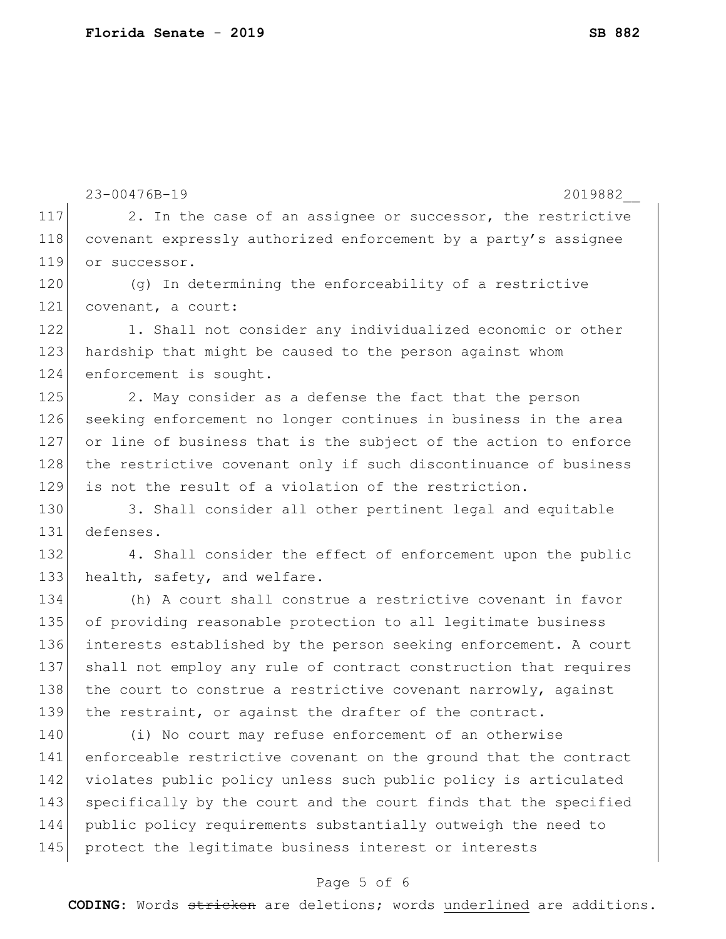23-00476B-19 2019882\_\_ 117 2. In the case of an assignee or successor, the restrictive 118 covenant expressly authorized enforcement by a party's assignee 119 or successor. 120 (g) In determining the enforceability of a restrictive 121 covenant, a court: 122 1. Shall not consider any individualized economic or other 123 hardship that might be caused to the person against whom 124 enforcement is sought. 125 2. May consider as a defense the fact that the person 126 seeking enforcement no longer continues in business in the area 127 or line of business that is the subject of the action to enforce 128 the restrictive covenant only if such discontinuance of business 129 is not the result of a violation of the restriction. 130 3. Shall consider all other pertinent legal and equitable 131 defenses. 132 4. Shall consider the effect of enforcement upon the public 133 health, safety, and welfare. 134 (h) A court shall construe a restrictive covenant in favor 135 of providing reasonable protection to all legitimate business 136 interests established by the person seeking enforcement. A court 137 shall not employ any rule of contract construction that requires 138 the court to construe a restrictive covenant narrowly, against 139 the restraint, or against the drafter of the contract. 140 (i) No court may refuse enforcement of an otherwise 141 enforceable restrictive covenant on the ground that the contract 142 violates public policy unless such public policy is articulated 143 specifically by the court and the court finds that the specified 144 public policy requirements substantially outweigh the need to 145 protect the legitimate business interest or interests

#### Page 5 of 6